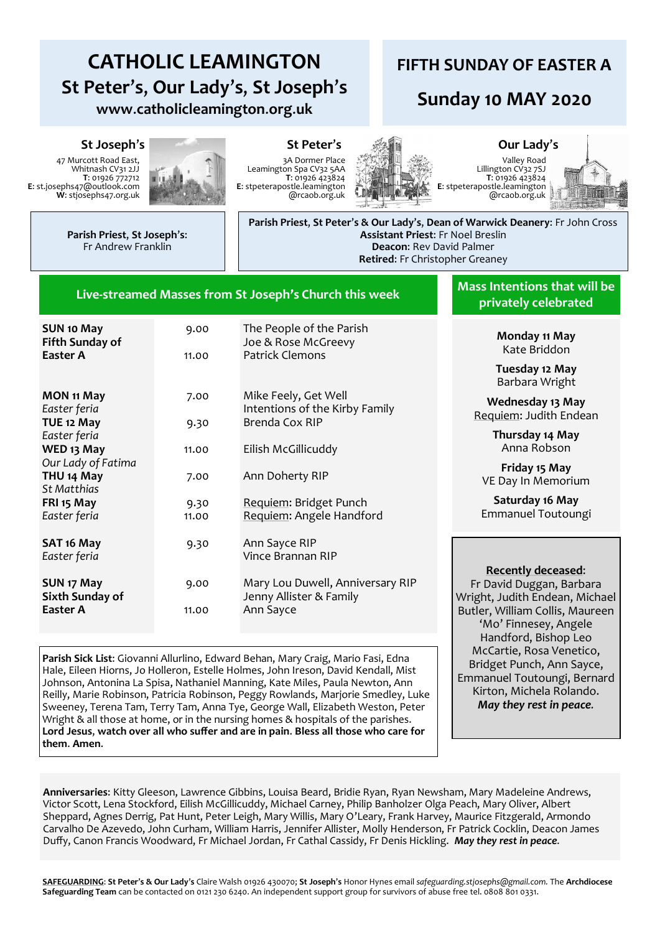# **CATHOLIC LEAMINGTON St Peter**'**s**, **Our Lady**'**s**, **St Joseph**'**s www**.**catholicleamington**.**org**.**uk**

## **FIFTH SUNDAY OF EASTER A**

# **Sunday 10 MAY 2020**

#### **St Joseph**'**s St Peter**'**s Our Lady**'**s**

47 Murcott Road East, Whitnash CV31 2JJ **T**: 01926 772712 **E**: st.josephs47@outlook.com **W**: stjosephs47.org.uk



3A Dormer Place Leamington Spa CV32 5AA **T**: 01926 423824 **E**: stpeterapostle.leamington @rcaob.org.uk



Valley Road Lillington CV32 7SJ **T**: 01926 423824 **E**: stpeterapostle.leamington @rcaob.org.uk



**Parish Priest**, **St Joseph**'**s**: Fr Andrew Franklin

**Parish Priest**, **St Peter**'**s & Our Lady**'**s**, **Dean of Warwick Deanery**: Fr John Cross **Assistant Priest**: Fr Noel Breslin **Deacon**: Rev David Palmer **Retired**: Fr Christopher Greaney

#### **Live-streamed Masses from St Joseph's Church this week**

| <b>SUN 10 May</b><br><b>Fifth Sunday of</b> | 9.00  | The People of the Parish<br>Joe & Rose McGreevy             |
|---------------------------------------------|-------|-------------------------------------------------------------|
| Easter A                                    | 11.00 | <b>Patrick Clemons</b>                                      |
|                                             |       |                                                             |
| MON 11 May                                  | 7.00  | Mike Feely, Get Well                                        |
| Easter feria                                |       | Intentions of the Kirby Family                              |
| TUE 12 May                                  | 9.30  | Brenda Cox RIP                                              |
| Easter feria                                |       |                                                             |
| WED 13 May                                  | 11.00 | Eilish McGillicuddy                                         |
| Our Lady of Fatima                          |       |                                                             |
| THU <sub>14</sub> May                       | 7.00  | Ann Doherty RIP                                             |
| <b>St Matthias</b>                          |       |                                                             |
| FRI 15 May                                  | 9.30  | Requiem: Bridget Punch                                      |
| Easter feria                                | 11.00 | Requiem: Angele Handford                                    |
|                                             |       |                                                             |
| SAT 16 May                                  | 9.30  | Ann Sayce RIP                                               |
| Easter feria                                |       | Vince Brannan RIP                                           |
|                                             |       |                                                             |
| SUN 17 May<br>Sixth Sunday of               | 9.00  | Mary Lou Duwell, Anniversary RIP<br>Jenny Allister & Family |
| Easter A                                    | 11.00 | Ann Sayce                                                   |
|                                             |       |                                                             |

**Mass Intentions that will be privately celebrated** 

> **Monday 11 May** Kate Briddon

**Tuesday 12 May** Barbara Wright

**Wednesday 13 May** Requiem: Judith Endean

> **Thursday 14 May** Anna Robson

**Friday 15 May** VE Day In Memorium

**Saturday 16 May** Emmanuel Toutoungi

#### **Recently deceased**:

Fr David Duggan, Barbara Wright, Judith Endean, Michael Butler, William Collis, Maureen 'Mo' Finnesey, Angele Handford, Bishop Leo McCartie, Rosa Venetico, Bridget Punch, Ann Sayce, Emmanuel Toutoungi, Bernard Kirton, Michela Rolando. *May they rest in peace.*

**Parish Sick List**: Giovanni Allurlino, Edward Behan, Mary Craig, Mario Fasi, Edna Hale, Eileen Hiorns, Jo Holleron, Estelle Holmes, John Ireson, David Kendall, Mist Johnson, Antonina La Spisa, Nathaniel Manning, Kate Miles, Paula Newton, Ann Reilly, Marie Robinson, Patricia Robinson, Peggy Rowlands, Marjorie Smedley, Luke Sweeney, Terena Tam, Terry Tam, Anna Tye, George Wall, Elizabeth Weston, Peter Wright & all those at home, or in the nursing homes & hospitals of the parishes. **Lord Jesus**, **watch over all who suffer and are in pain**. **Bless all those who care for them**. **Amen**.

**Anniversaries**: Kitty Gleeson, Lawrence Gibbins, Louisa Beard, Bridie Ryan, Ryan Newsham, Mary Madeleine Andrews, Victor Scott, Lena Stockford, Eilish McGillicuddy, Michael Carney, Philip Banholzer Olga Peach, Mary Oliver, Albert Sheppard, Agnes Derrig, Pat Hunt, Peter Leigh, Mary Willis, Mary O'Leary, Frank Harvey, Maurice Fitzgerald, Armondo Carvalho De Azevedo, John Curham, William Harris, Jennifer Allister, Molly Henderson, Fr Patrick Cocklin, Deacon James Duffy, Canon Francis Woodward, Fr Michael Jordan, Fr Cathal Cassidy, Fr Denis Hickling. *May they rest in peace.*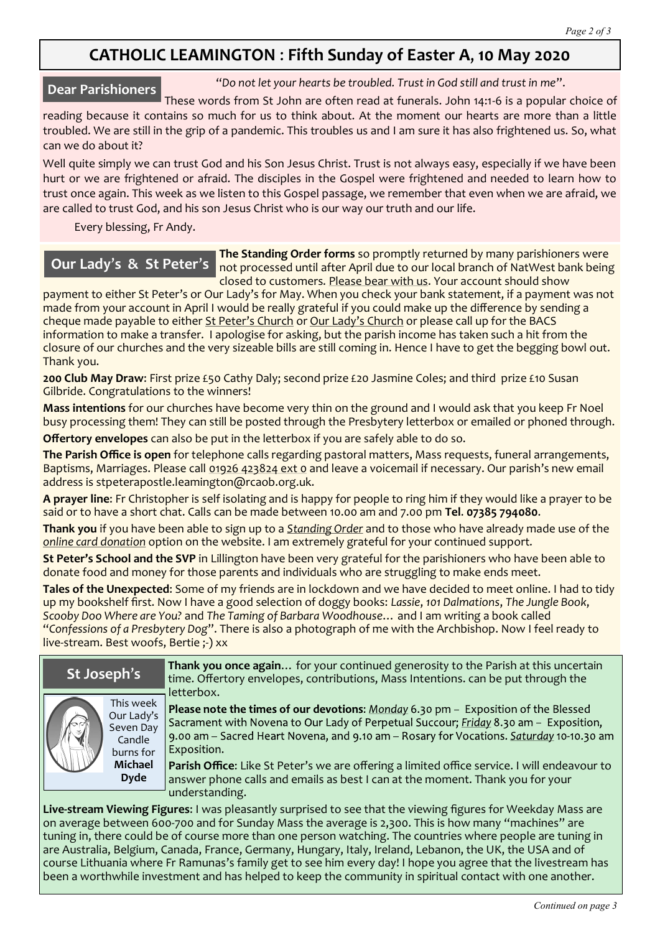## **CATHOLIC LEAMINGTON** : **Fifth Sunday of Easter A**, **10 May 2020**

### **Dear Parishioners**

"*Do not let your hearts be troubled. Trust in God still and trust in me*".

These words from St John are often read at funerals. John 14:1-6 is a popular choice of reading because it contains so much for us to think about. At the moment our hearts are more than a little troubled. We are still in the grip of a pandemic. This troubles us and I am sure it has also frightened us. So, what can we do about it?

Well quite simply we can trust God and his Son Jesus Christ. Trust is not always easy, especially if we have been hurt or we are frightened or afraid. The disciples in the Gospel were frightened and needed to learn how to trust once again. This week as we listen to this Gospel passage, we remember that even when we are afraid, we are called to trust God, and his son Jesus Christ who is our way our truth and our life.

Every blessing, Fr Andy.

## **Our Lady**'**s & St Peter**'**s**

**The Standing Order forms** so promptly returned by many parishioners were not processed until after April due to our local branch of NatWest bank being closed to customers. Please bear with us. Your account should show

payment to either St Peter's or Our Lady's for May. When you check your bank statement, if a payment was not made from your account in April I would be really grateful if you could make up the difference by sending a cheque made payable to either St Peter's Church or Our Lady's Church or please call up for the BACS information to make a transfer. I apologise for asking, but the parish income has taken such a hit from the closure of our churches and the very sizeable bills are still coming in. Hence I have to get the begging bowl out. Thank you.

**200 Club May Draw**: First prize £50 Cathy Daly; second prize £20 Jasmine Coles; and third prize £10 Susan Gilbride. Congratulations to the winners!

**Mass intentions** for our churches have become very thin on the ground and I would ask that you keep Fr Noel busy processing them! They can still be posted through the Presbytery letterbox or emailed or phoned through.

**Offertory envelopes** can also be put in the letterbox if you are safely able to do so.

**The Parish Office is open** for telephone calls regarding pastoral matters, Mass requests, funeral arrangements, Baptisms, Marriages. Please call 01926 423824 ext 0 and leave a voicemail if necessary. Our parish's new email address is stpeterapostle.leamington@rcaob.org.uk.

**A prayer line**: Fr Christopher is self isolating and is happy for people to ring him if they would like a prayer to be said or to have a short chat. Calls can be made between 10.00 am and 7.00 pm **Tel**. **07385 794080**.

**Thank you** if you have been able to sign up to a *Standing Order* and to those who have already made use of the *online card donation* option on the website. I am extremely grateful for your continued support.

**St Peter's School and the SVP** in Lillington have been very grateful for the parishioners who have been able to donate food and money for those parents and individuals who are struggling to make ends meet.

**Tales of the Unexpected**: Some of my friends are in lockdown and we have decided to meet online. I had to tidy up my bookshelf first. Now I have a good selection of doggy books: *Lassie*, *101 Dalmations*, *The Jungle Book*, *Scooby Doo Where are You?* and *The Taming of Barbara Woodhouse*… and I am writing a book called "*Confessions of a Presbytery Dog*". There is also a photograph of me with the Archbishop. Now I feel ready to live-stream. Best woofs, Bertie ;-) xx

| St Joseph's  |                                                                        | Thank you once again for your continued generosity to the Parish at this uncertain<br>time. Offertory envelopes, contributions, Mass Intentions. can be put through the<br>letterbox.                                                                                                                                                                                                |
|--------------|------------------------------------------------------------------------|--------------------------------------------------------------------------------------------------------------------------------------------------------------------------------------------------------------------------------------------------------------------------------------------------------------------------------------------------------------------------------------|
| $\mathbb{N}$ | This week<br>Our Lady's<br>Seven Day<br>Candle<br>burns for<br>Michael | Please note the times of our devotions: Monday 6.30 pm - Exposition of the Blessed<br>Sacrament with Novena to Our Lady of Perpetual Succour; Friday 8.30 am - Exposition,<br>9.00 am – Sacred Heart Novena, and 9.10 am – Rosary for Vocations. Saturday 10-10.30 am<br>Exposition.<br>Parish Office: Like St Peter's we are offering a limited office service. I will endeavour to |
|              | <b>Dyde</b>                                                            | answer phone calls and emails as best I can at the moment. Thank you for your<br>understanding.                                                                                                                                                                                                                                                                                      |

**Live-stream Viewing Figures**: I was pleasantly surprised to see that the viewing figures for Weekday Mass are on average between 600-700 and for Sunday Mass the average is 2,300. This is how many "machines" are tuning in, there could be of course more than one person watching. The countries where people are tuning in are Australia, Belgium, Canada, France, Germany, Hungary, Italy, Ireland, Lebanon, the UK, the USA and of course Lithuania where Fr Ramunas's family get to see him every day! I hope you agree that the livestream has been a worthwhile investment and has helped to keep the community in spiritual contact with one another.